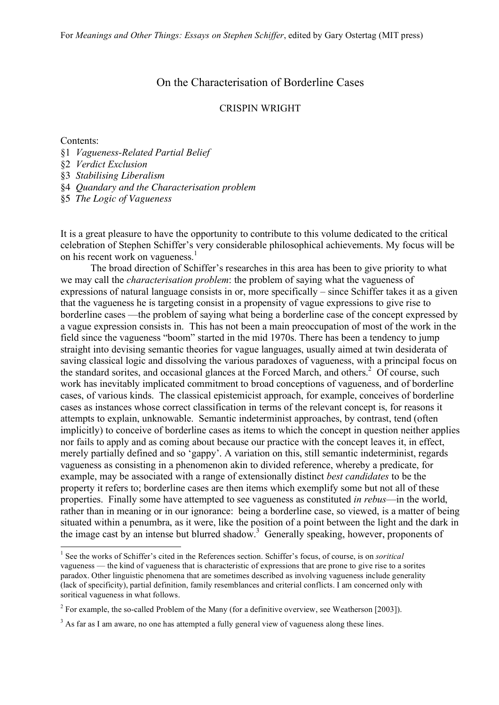# On the Characterisation of Borderline Cases

### CRISPIN WRIGHT

Contents:

- §1 *Vagueness-Related Partial Belief*
- §2 *Verdict Exclusion*
- §3 *Stabilising Liberalism*
- §4 *Quandary and the Characterisation problem*
- §5 *The Logic of Vagueness*

It is a great pleasure to have the opportunity to contribute to this volume dedicated to the critical celebration of Stephen Schiffer's very considerable philosophical achievements. My focus will be on his recent work on vagueness.<sup>1</sup>

The broad direction of Schiffer's researches in this area has been to give priority to what we may call the *characterisation problem*: the problem of saying what the vagueness of expressions of natural language consists in or, more specifically – since Schiffer takes it as a given that the vagueness he is targeting consist in a propensity of vague expressions to give rise to borderline cases —the problem of saying what being a borderline case of the concept expressed by a vague expression consists in. This has not been a main preoccupation of most of the work in the field since the vagueness "boom" started in the mid 1970s. There has been a tendency to jump straight into devising semantic theories for vague languages, usually aimed at twin desiderata of saving classical logic and dissolving the various paradoxes of vagueness, with a principal focus on the standard sorites, and occasional glances at the Forced March, and others. <sup>2</sup> Of course, such work has inevitably implicated commitment to broad conceptions of vagueness, and of borderline cases, of various kinds. The classical epistemicist approach, for example, conceives of borderline cases as instances whose correct classification in terms of the relevant concept is, for reasons it attempts to explain, unknowable. Semantic indeterminist approaches, by contrast, tend (often implicitly) to conceive of borderline cases as items to which the concept in question neither applies nor fails to apply and as coming about because our practice with the concept leaves it, in effect, merely partially defined and so 'gappy'. A variation on this, still semantic indeterminist, regards vagueness as consisting in a phenomenon akin to divided reference, whereby a predicate, for example, may be associated with a range of extensionally distinct *best candidates* to be the property it refers to; borderline cases are then items which exemplify some but not all of these properties. Finally some have attempted to see vagueness as constituted *in rebus*—in the world, rather than in meaning or in our ignorance: being a borderline case, so viewed, is a matter of being situated within a penumbra, as it were, like the position of a point between the light and the dark in the image cast by an intense but blurred shadow.<sup>3</sup> Generally speaking, however, proponents of

 <sup>1</sup> See the works of Schiffer's cited in the References section. Schiffer's focus, of course, is on *soritical* vagueness — the kind of vagueness that is characteristic of expressions that are prone to give rise to a sorites paradox. Other linguistic phenomena that are sometimes described as involving vagueness include generality (lack of specificity), partial definition, family resemblances and criterial conflicts. I am concerned only with soritical vagueness in what follows.

<sup>&</sup>lt;sup>2</sup> For example, the so-called Problem of the Many (for a definitive overview, see Weatherson [2003]).

<sup>&</sup>lt;sup>3</sup> As far as I am aware, no one has attempted a fully general view of vagueness along these lines.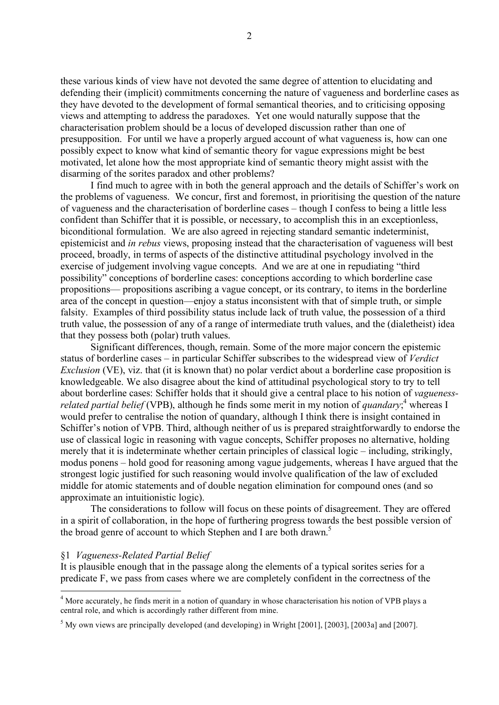these various kinds of view have not devoted the same degree of attention to elucidating and defending their (implicit) commitments concerning the nature of vagueness and borderline cases as they have devoted to the development of formal semantical theories, and to criticising opposing views and attempting to address the paradoxes. Yet one would naturally suppose that the characterisation problem should be a locus of developed discussion rather than one of presupposition. For until we have a properly argued account of what vagueness is, how can one possibly expect to know what kind of semantic theory for vague expressions might be best motivated, let alone how the most appropriate kind of semantic theory might assist with the disarming of the sorites paradox and other problems?

I find much to agree with in both the general approach and the details of Schiffer's work on the problems of vagueness. We concur, first and foremost, in prioritising the question of the nature of vagueness and the characterisation of borderline cases – though I confess to being a little less confident than Schiffer that it is possible, or necessary, to accomplish this in an exceptionless, biconditional formulation. We are also agreed in rejecting standard semantic indeterminist, epistemicist and *in rebus* views, proposing instead that the characterisation of vagueness will best proceed, broadly, in terms of aspects of the distinctive attitudinal psychology involved in the exercise of judgement involving vague concepts. And we are at one in repudiating "third possibility" conceptions of borderline cases: conceptions according to which borderline case propositions— propositions ascribing a vague concept, or its contrary, to items in the borderline area of the concept in question—enjoy a status inconsistent with that of simple truth, or simple falsity. Examples of third possibility status include lack of truth value, the possession of a third truth value, the possession of any of a range of intermediate truth values, and the (dialetheist) idea that they possess both (polar) truth values.

Significant differences, though, remain. Some of the more major concern the epistemic status of borderline cases – in particular Schiffer subscribes to the widespread view of *Verdict Exclusion* (VE), viz. that (it is known that) no polar verdict about a borderline case proposition is knowledgeable. We also disagree about the kind of attitudinal psychological story to try to tell about borderline cases: Schiffer holds that it should give a central place to his notion of *vagueness*related partial belief (VPB), although he finds some merit in my notion of *quandary*;<sup>4</sup> whereas I would prefer to centralise the notion of quandary, although I think there is insight contained in Schiffer's notion of VPB. Third, although neither of us is prepared straightforwardly to endorse the use of classical logic in reasoning with vague concepts, Schiffer proposes no alternative, holding merely that it is indeterminate whether certain principles of classical logic – including, strikingly, modus ponens – hold good for reasoning among vague judgements, whereas I have argued that the strongest logic justified for such reasoning would involve qualification of the law of excluded middle for atomic statements and of double negation elimination for compound ones (and so approximate an intuitionistic logic).

The considerations to follow will focus on these points of disagreement. They are offered in a spirit of collaboration, in the hope of furthering progress towards the best possible version of the broad genre of account to which Stephen and I are both drawn.<sup>5</sup>

### §1 *Vagueness-Related Partial Belief*

It is plausible enough that in the passage along the elements of a typical sorites series for a predicate F, we pass from cases where we are completely confident in the correctness of the

<sup>&</sup>lt;sup>4</sup> More accurately, he finds merit in a notion of quandary in whose characterisation his notion of VPB plays a central role, and which is accordingly rather different from mine.

<sup>&</sup>lt;sup>5</sup> My own views are principally developed (and developing) in Wright [2001], [2003], [2003a] and [2007].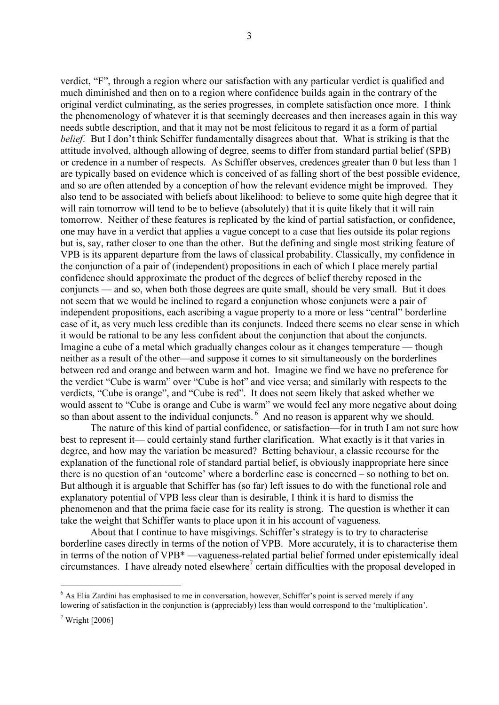verdict, "F", through a region where our satisfaction with any particular verdict is qualified and much diminished and then on to a region where confidence builds again in the contrary of the original verdict culminating, as the series progresses, in complete satisfaction once more. I think the phenomenology of whatever it is that seemingly decreases and then increases again in this way needs subtle description, and that it may not be most felicitous to regard it as a form of partial *belief*. But I don't think Schiffer fundamentally disagrees about that. What is striking is that the attitude involved, although allowing of degree, seems to differ from standard partial belief (SPB) or credence in a number of respects. As Schiffer observes, credences greater than 0 but less than 1 are typically based on evidence which is conceived of as falling short of the best possible evidence, and so are often attended by a conception of how the relevant evidence might be improved. They also tend to be associated with beliefs about likelihood: to believe to some quite high degree that it will rain tomorrow will tend to be to believe (absolutely) that it is quite likely that it will rain tomorrow. Neither of these features is replicated by the kind of partial satisfaction, or confidence, one may have in a verdict that applies a vague concept to a case that lies outside its polar regions but is, say, rather closer to one than the other. But the defining and single most striking feature of VPB is its apparent departure from the laws of classical probability. Classically, my confidence in the conjunction of a pair of (independent) propositions in each of which I place merely partial confidence should approximate the product of the degrees of belief thereby reposed in the conjuncts — and so, when both those degrees are quite small, should be very small. But it does not seem that we would be inclined to regard a conjunction whose conjuncts were a pair of independent propositions, each ascribing a vague property to a more or less "central" borderline case of it, as very much less credible than its conjuncts. Indeed there seems no clear sense in which it would be rational to be any less confident about the conjunction that about the conjuncts. Imagine a cube of a metal which gradually changes colour as it changes temperature — though neither as a result of the other—and suppose it comes to sit simultaneously on the borderlines between red and orange and between warm and hot. Imagine we find we have no preference for the verdict "Cube is warm" over "Cube is hot" and vice versa; and similarly with respects to the verdicts, "Cube is orange", and "Cube is red". It does not seem likely that asked whether we would assent to "Cube is orange and Cube is warm" we would feel any more negative about doing so than about assent to the individual conjuncts. <sup>6</sup> And no reason is apparent why we should.

The nature of this kind of partial confidence, or satisfaction—for in truth I am not sure how best to represent it— could certainly stand further clarification. What exactly is it that varies in degree, and how may the variation be measured? Betting behaviour, a classic recourse for the explanation of the functional role of standard partial belief, is obviously inappropriate here since there is no question of an 'outcome' where a borderline case is concerned – so nothing to bet on. But although it is arguable that Schiffer has (so far) left issues to do with the functional role and explanatory potential of VPB less clear than is desirable, I think it is hard to dismiss the phenomenon and that the prima facie case for its reality is strong. The question is whether it can take the weight that Schiffer wants to place upon it in his account of vagueness.

About that I continue to have misgivings. Schiffer's strategy is to try to characterise borderline cases directly in terms of the notion of VPB. More accurately, it is to characterise them in terms of the notion of VPB\* —vagueness-related partial belief formed under epistemically ideal circumstances. I have already noted elsewhere <sup>7</sup> certain difficulties with the proposal developed in

<sup>&</sup>lt;sup>6</sup> As Elia Zardini has emphasised to me in conversation, however, Schiffer's point is served merely if any lowering of satisfaction in the conjunction is (appreciably) less than would correspond to the 'multiplication'.

 $7$  Wright [2006]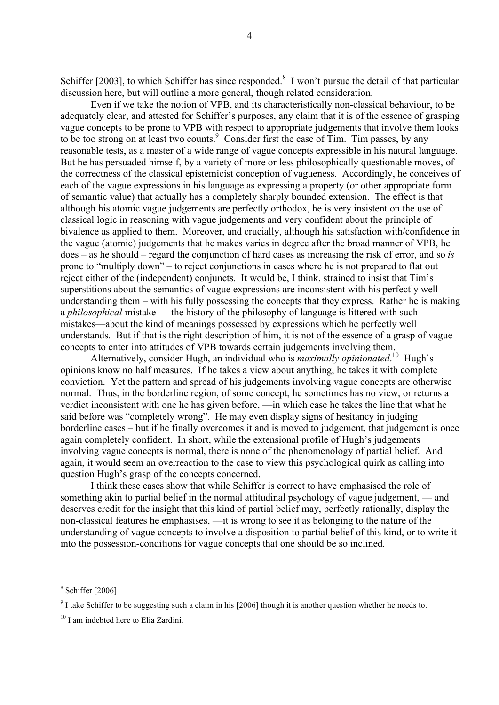Schiffer [2003], to which Schiffer has since responded.<sup>8</sup> I won't pursue the detail of that particular discussion here, but will outline a more general, though related consideration.

Even if we take the notion of VPB, and its characteristically non-classical behaviour, to be adequately clear, and attested for Schiffer's purposes, any claim that it is of the essence of grasping vague concepts to be prone to VPB with respect to appropriate judgements that involve them looks to be too strong on at least two counts. <sup>9</sup> Consider first the case of Tim. Tim passes, by any reasonable tests, as a master of a wide range of vague concepts expressible in his natural language. But he has persuaded himself, by a variety of more or less philosophically questionable moves, of the correctness of the classical epistemicist conception of vagueness. Accordingly, he conceives of each of the vague expressions in his language as expressing a property (or other appropriate form of semantic value) that actually has a completely sharply bounded extension. The effect is that although his atomic vague judgements are perfectly orthodox, he is very insistent on the use of classical logic in reasoning with vague judgements and very confident about the principle of bivalence as applied to them. Moreover, and crucially, although his satisfaction with/confidence in the vague (atomic) judgements that he makes varies in degree after the broad manner of VPB, he does – as he should – regard the conjunction of hard cases as increasing the risk of error, and so *is* prone to "multiply down" – to reject conjunctions in cases where he is not prepared to flat out reject either of the (independent) conjuncts. It would be, I think, strained to insist that Tim's superstitions about the semantics of vague expressions are inconsistent with his perfectly well understanding them – with his fully possessing the concepts that they express. Rather he is making a *philosophical* mistake — the history of the philosophy of language is littered with such mistakes—about the kind of meanings possessed by expressions which he perfectly well understands. But if that is the right description of him, it is not of the essence of a grasp of vague concepts to enter into attitudes of VPB towards certain judgements involving them.

Alternatively, consider Hugh, an individual who is *maximally opinionated*. <sup>10</sup> Hugh's opinions know no half measures. If he takes a view about anything, he takes it with complete conviction. Yet the pattern and spread of his judgements involving vague concepts are otherwise normal. Thus, in the borderline region, of some concept, he sometimes has no view, or returns a verdict inconsistent with one he has given before, —in which case he takes the line that what he said before was "completely wrong". He may even display signs of hesitancy in judging borderline cases – but if he finally overcomes it and is moved to judgement, that judgement is once again completely confident. In short, while the extensional profile of Hugh's judgements involving vague concepts is normal, there is none of the phenomenology of partial belief. And again, it would seem an overreaction to the case to view this psychological quirk as calling into question Hugh's grasp of the concepts concerned.

I think these cases show that while Schiffer is correct to have emphasised the role of something akin to partial belief in the normal attitudinal psychology of vague judgement, — and deserves credit for the insight that this kind of partial belief may, perfectly rationally, display the non-classical features he emphasises, —it is wrong to see it as belonging to the nature of the understanding of vague concepts to involve a disposition to partial belief of this kind, or to write it into the possession-conditions for vague concepts that one should be so inclined.

 $8$  Schiffer [2006]

<sup>&</sup>lt;sup>9</sup> I take Schiffer to be suggesting such a claim in his [2006] though it is another question whether he needs to.

<sup>&</sup>lt;sup>10</sup> I am indebted here to Elia Zardini.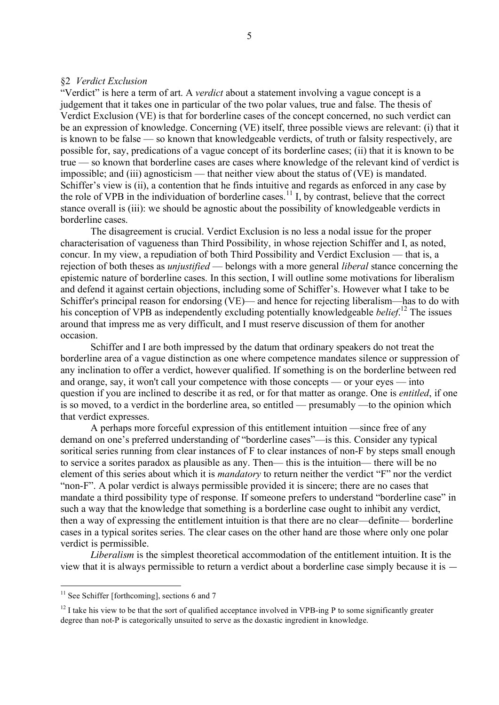#### §2 *Verdict Exclusion*

"Verdict" is here a term of art. A *verdict* about a statement involving a vague concept is a judgement that it takes one in particular of the two polar values, true and false. The thesis of Verdict Exclusion (VE) is that for borderline cases of the concept concerned, no such verdict can be an expression of knowledge. Concerning (VE) itself, three possible views are relevant: (i) that it is known to be false — so known that knowledgeable verdicts, of truth or falsity respectively, are possible for, say, predications of a vague concept of its borderline cases; (ii) that it is known to be true — so known that borderline cases are cases where knowledge of the relevant kind of verdict is impossible; and (iii) agnosticism — that neither view about the status of (VE) is mandated. Schiffer's view is (ii), a contention that he finds intuitive and regards as enforced in any case by the role of VPB in the individuation of borderline cases.<sup>11</sup> I, by contrast, believe that the correct stance overall is (iii): we should be agnostic about the possibility of knowledgeable verdicts in borderline cases.

The disagreement is crucial. Verdict Exclusion is no less a nodal issue for the proper characterisation of vagueness than Third Possibility, in whose rejection Schiffer and I, as noted, concur. In my view, a repudiation of both Third Possibility and Verdict Exclusion — that is, a rejection of both theses as *unjustified* — belongs with a more general *liberal* stance concerning the epistemic nature of borderline cases. In this section, I will outline some motivations for liberalism and defend it against certain objections, including some of Schiffer's. However what I take to be Schiffer's principal reason for endorsing (VE)— and hence for rejecting liberalism—has to do with his conception of VPB as independently excluding potentially knowledgeable *belief*. <sup>12</sup> The issues around that impress me as very difficult, and I must reserve discussion of them for another occasion.

Schiffer and I are both impressed by the datum that ordinary speakers do not treat the borderline area of a vague distinction as one where competence mandates silence or suppression of any inclination to offer a verdict, however qualified. If something is on the borderline between red and orange, say, it won't call your competence with those concepts — or your eyes — into question if you are inclined to describe it as red, or for that matter as orange. One is *entitled*, if one is so moved, to a verdict in the borderline area, so entitled — presumably —to the opinion which that verdict expresses.

A perhaps more forceful expression of this entitlement intuition —since free of any demand on one's preferred understanding of "borderline cases"—is this. Consider any typical soritical series running from clear instances of F to clear instances of non-F by steps small enough to service a sorites paradox as plausible as any. Then— this is the intuition— there will be no element of this series about which it is *mandatory* to return neither the verdict "F" nor the verdict "non-F". A polar verdict is always permissible provided it is sincere; there are no cases that mandate a third possibility type of response. If someone prefers to understand "borderline case" in such a way that the knowledge that something is a borderline case ought to inhibit any verdict, then a way of expressing the entitlement intuition is that there are no clear—definite— borderline cases in a typical sorites series. The clear cases on the other hand are those where only one polar verdict is permissible.

*Liberalism* is the simplest theoretical accommodation of the entitlement intuition. It is the view that it is always permissible to return a verdict about a borderline case simply because it is —

 $11$  See Schiffer [forthcoming], sections 6 and 7

 $12$  I take his view to be that the sort of qualified acceptance involved in VPB-ing P to some significantly greater degree than not-P is categorically unsuited to serve as the doxastic ingredient in knowledge.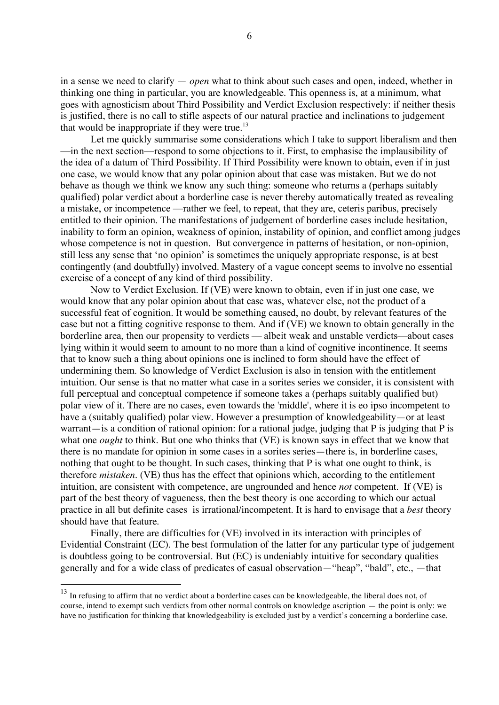in a sense we need to clarify — *open* what to think about such cases and open, indeed, whether in thinking one thing in particular, you are knowledgeable. This openness is, at a minimum, what goes with agnosticism about Third Possibility and Verdict Exclusion respectively: if neither thesis is justified, there is no call to stifle aspects of our natural practice and inclinations to judgement that would be inappropriate if they were true.<sup>13</sup>

Let me quickly summarise some considerations which I take to support liberalism and then —in the next section—respond to some objections to it. First, to emphasise the implausibility of the idea of a datum of Third Possibility. If Third Possibility were known to obtain, even if in just one case, we would know that any polar opinion about that case was mistaken. But we do not behave as though we think we know any such thing: someone who returns a (perhaps suitably qualified) polar verdict about a borderline case is never thereby automatically treated as revealing a mistake, or incompetence —rather we feel, to repeat, that they are, ceteris paribus, precisely entitled to their opinion. The manifestations of judgement of borderline cases include hesitation, inability to form an opinion, weakness of opinion, instability of opinion, and conflict among judges whose competence is not in question. But convergence in patterns of hesitation, or non-opinion, still less any sense that 'no opinion' is sometimes the uniquely appropriate response, is at best contingently (and doubtfully) involved. Mastery of a vague concept seems to involve no essential exercise of a concept of any kind of third possibility.

Now to Verdict Exclusion. If (VE) were known to obtain, even if in just one case, we would know that any polar opinion about that case was, whatever else, not the product of a successful feat of cognition. It would be something caused, no doubt, by relevant features of the case but not a fitting cognitive response to them. And if (VE) we known to obtain generally in the borderline area, then our propensity to verdicts — albeit weak and unstable verdicts—about cases lying within it would seem to amount to no more than a kind of cognitive incontinence. It seems that to know such a thing about opinions one is inclined to form should have the effect of undermining them. So knowledge of Verdict Exclusion is also in tension with the entitlement intuition. Our sense is that no matter what case in a sorites series we consider, it is consistent with full perceptual and conceptual competence if someone takes a (perhaps suitably qualified but) polar view of it. There are no cases, even towards the 'middle', where it is eo ipso incompetent to have a (suitably qualified) polar view. However a presumption of knowledgeability—or at least warrant—is a condition of rational opinion: for a rational judge, judging that P is judging that P is what one *ought* to think. But one who thinks that (VE) is known says in effect that we know that there is no mandate for opinion in some cases in a sorites series—there is, in borderline cases, nothing that ought to be thought. In such cases, thinking that P is what one ought to think, is therefore *mistaken*. (VE) thus has the effect that opinions which, according to the entitlement intuition, are consistent with competence, are ungrounded and hence *not* competent. If (VE) is part of the best theory of vagueness, then the best theory is one according to which our actual practice in all but definite cases is irrational/incompetent. It is hard to envisage that a *best* theory should have that feature.

Finally, there are difficulties for (VE) involved in its interaction with principles of Evidential Constraint (EC). The best formulation of the latter for any particular type of judgement is doubtless going to be controversial. But (EC) is undeniably intuitive for secondary qualities generally and for a wide class of predicates of casual observation—"heap", "bald", etc., —that

<sup>&</sup>lt;sup>13</sup> In refusing to affirm that no verdict about a borderline cases can be knowledgeable, the liberal does not, of course, intend to exempt such verdicts from other normal controls on knowledge ascription — the point is only: we have no justification for thinking that knowledgeability is excluded just by a verdict's concerning a borderline case.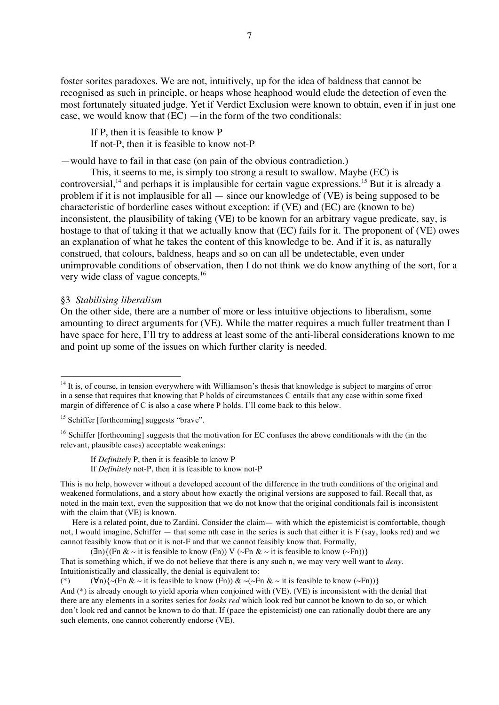foster sorites paradoxes. We are not, intuitively, up for the idea of baldness that cannot be recognised as such in principle, or heaps whose heaphood would elude the detection of even the most fortunately situated judge. Yet if Verdict Exclusion were known to obtain, even if in just one case, we would know that  $(EC)$  —in the form of the two conditionals:

If P, then it is feasible to know P

If not-P, then it is feasible to know not-P

—would have to fail in that case (on pain of the obvious contradiction.)

This, it seems to me, is simply too strong a result to swallow. Maybe (EC) is controversial,<sup>14</sup> and perhaps it is implausible for certain vague expressions.<sup>15</sup> But it is already a problem if it is not implausible for all — since our knowledge of (VE) is being supposed to be characteristic of borderline cases without exception: if (VE) and (EC) are (known to be) inconsistent, the plausibility of taking (VE) to be known for an arbitrary vague predicate, say, is hostage to that of taking it that we actually know that (EC) fails for it. The proponent of (VE) owes an explanation of what he takes the content of this knowledge to be. And if it is, as naturally construed, that colours, baldness, heaps and so on can all be undetectable, even under unimprovable conditions of observation, then I do not think we do know anything of the sort, for a very wide class of vague concepts.<sup>16</sup>

## §3 *Stabilising liberalism*

On the other side, there are a number of more or less intuitive objections to liberalism, some amounting to direct arguments for (VE). While the matter requires a much fuller treatment than I have space for here, I'll try to address at least some of the anti-liberal considerations known to me and point up some of the issues on which further clarity is needed.

If *Definitely* P, then it is feasible to know P

If *Definitely* not-P, then it is feasible to know not-P

This is no help, however without a developed account of the difference in the truth conditions of the original and weakened formulations, and a story about how exactly the original versions are supposed to fail. Recall that, as noted in the main text, even the supposition that we do not know that the original conditionals fail is inconsistent with the claim that (VE) is known.

Here is a related point, due to Zardini. Consider the claim— with which the epistemicist is comfortable, though not, I would imagine, Schiffer  $-$  that some nth case in the series is such that either it is  $F$  (say, looks red) and we cannot feasibly know that or it is not-F and that we cannot feasibly know that. Formally,

 $(\exists n)\{(\text{Fn }\<\text{it is feasible to know (Fn))}\}\vee(\sim\text{Fn }\<\text{it is feasible to know }(\sim\text{Fn})\}$ 

That is something which, if we do not believe that there is any such n, we may very well want to *deny*. Intuitionistically and classically, the denial is equivalent to:

(\*)  $(\forall n)\{\sim(Fn \& \sim it \text{ is feasible to know } (Fn)) \& \sim(\sim Fn \& \sim it \text{ is feasible to know } (\sim Fn))\}$ 

And (\*) is already enough to yield aporia when conjoined with (VE). (VE) is inconsistent with the denial that there are any elements in a sorites series for *looks red* which look red but cannot be known to do so, or which don't look red and cannot be known to do that. If (pace the epistemicist) one can rationally doubt there are any such elements, one cannot coherently endorse (VE).

<sup>&</sup>lt;sup>14</sup> It is, of course, in tension everywhere with Williamson's thesis that knowledge is subject to margins of error in a sense that requires that knowing that P holds of circumstances C entails that any case within some fixed margin of difference of C is also a case where P holds. I'll come back to this below.

<sup>&</sup>lt;sup>15</sup> Schiffer [forthcoming] suggests "brave".

<sup>&</sup>lt;sup>16</sup> Schiffer [forthcoming] suggests that the motivation for EC confuses the above conditionals with the (in the relevant, plausible cases) acceptable weakenings: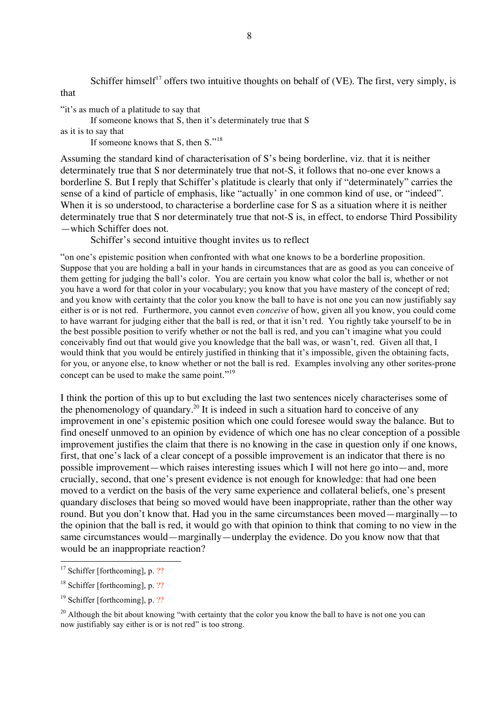Schiffer himself<sup>17</sup> offers two intuitive thoughts on behalf of (VE). The first, very simply, is

that

"it's as much of a platitude to say that

If someone knows that S, then it's determinately true that S

as it is to say that

If someone knows that S, then S."<sup>18</sup>

Assuming the standard kind of characterisation of S's being borderline, viz. that it is neither determinately true that S nor determinately true that not-S, it follows that no-one ever knows a borderline S. But I reply that Schiffer's platitude is clearly that only if "determinately" carries the sense of a kind of particle of emphasis, like "actually' in one common kind of use, or "indeed". When it is so understood, to characterise a borderline case for S as a situation where it is neither determinately true that S nor determinately true that not-S is, in effect, to endorse Third Possibility —which Schiffer does not.

Schiffer's second intuitive thought invites us to reflect

"on one's epistemic position when confronted with what one knows to be a borderline proposition. Suppose that you are holding a ball in your hands in circumstances that are as good as you can conceive of them getting for judging the ball's color. You are certain you know what color the ball is, whether or not you have a word for that color in your vocabulary; you know that you have mastery of the concept of red; and you know with certainty that the color you know the ball to have is not one you can now justifiably say either is or is not red. Furthermore, you cannot even *conceive* of how, given all you know, you could come to have warrant for judging either that the ball is red, or that it isn't red. You rightly take yourself to be in the best possible position to verify whether or not the ball is red, and you can't imagine what you could conceivably find out that would give you knowledge that the ball was, or wasn't, red. Given all that, I would think that you would be entirely justified in thinking that it's impossible, given the obtaining facts, for you, or anyone else, to know whether or not the ball is red. Examples involving any other sorites-prone concept can be used to make the same point."<sup>19</sup>

I think the portion of this up to but excluding the last two sentences nicely characterises some of the phenomenology of quandary.<sup>20</sup> It is indeed in such a situation hard to conceive of any improvement in one's epistemic position which one could foresee would sway the balance. But to find oneself unmoved to an opinion by evidence of which one has no clear conception of a possible improvement justifies the claim that there is no knowing in the case in question only if one knows, first, that one's lack of a clear concept of a possible improvement is an indicator that there is no possible improvement—which raises interesting issues which I will not here go into—and, more crucially, second, that one's present evidence is not enough for knowledge: that had one been moved to a verdict on the basis of the very same experience and collateral beliefs, one's present quandary discloses that being so moved would have been inappropriate, rather than the other way round. But you don't know that. Had you in the same circumstances been moved—marginally—to the opinion that the ball is red, it would go with that opinion to think that coming to no view in the same circumstances would—marginally—underplay the evidence. Do you know now that that would be an inappropriate reaction?

 $17$  Schiffer [forthcoming], p. ??

 $18$  Schiffer [forthcoming], p. ??

 $19$  Schiffer [forthcoming], p. ??

<sup>&</sup>lt;sup>20</sup> Although the bit about knowing "with certainty that the color you know the ball to have is not one you can now justifiably say either is or is not red" is too strong.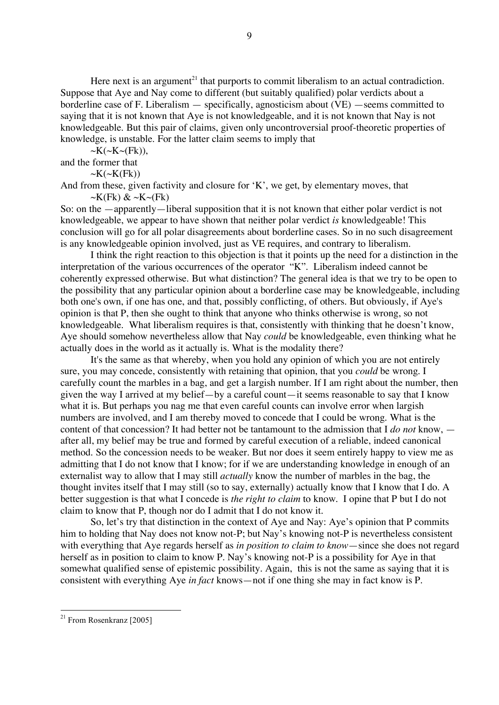Here next is an argument<sup>21</sup> that purports to commit liberalism to an actual contradiction. Suppose that Aye and Nay come to different (but suitably qualified) polar verdicts about a borderline case of F. Liberalism — specifically, agnosticism about (VE) —seems committed to saying that it is not known that Aye is not knowledgeable, and it is not known that Nay is not knowledgeable. But this pair of claims, given only uncontroversial proof-theoretic properties of knowledge, is unstable. For the latter claim seems to imply that

 $\sim$ K( $\sim$ K $\sim$ (Fk)),

and the former that

 $\sim$ K( $\sim$ K(Fk))

And from these, given factivity and closure for 'K', we get, by elementary moves, that  $\sim$ K(Fk) &  $\sim$ K $\sim$ (Fk)

So: on the —apparently—liberal supposition that it is not known that either polar verdict is not knowledgeable, we appear to have shown that neither polar verdict *is* knowledgeable! This conclusion will go for all polar disagreements about borderline cases. So in no such disagreement is any knowledgeable opinion involved, just as VE requires, and contrary to liberalism.

I think the right reaction to this objection is that it points up the need for a distinction in the interpretation of the various occurrences of the operator "K". Liberalism indeed cannot be coherently expressed otherwise. But what distinction? The general idea is that we try to be open to the possibility that any particular opinion about a borderline case may be knowledgeable, including both one's own, if one has one, and that, possibly conflicting, of others. But obviously, if Aye's opinion is that P, then she ought to think that anyone who thinks otherwise is wrong, so not knowledgeable. What liberalism requires is that, consistently with thinking that he doesn't know, Aye should somehow nevertheless allow that Nay *could* be knowledgeable, even thinking what he actually does in the world as it actually is. What is the modality there?

It's the same as that whereby, when you hold any opinion of which you are not entirely sure, you may concede, consistently with retaining that opinion, that you *could* be wrong. I carefully count the marbles in a bag, and get a largish number. If I am right about the number, then given the way I arrived at my belief—by a careful count—it seems reasonable to say that I know what it is. But perhaps you nag me that even careful counts can involve error when largish numbers are involved, and I am thereby moved to concede that I could be wrong. What is the content of that concession? It had better not be tantamount to the admission that I *do not* know, after all, my belief may be true and formed by careful execution of a reliable, indeed canonical method. So the concession needs to be weaker. But nor does it seem entirely happy to view me as admitting that I do not know that I know; for if we are understanding knowledge in enough of an externalist way to allow that I may still *actually* know the number of marbles in the bag, the thought invites itself that I may still (so to say, externally) actually know that I know that I do. A better suggestion is that what I concede is *the right to claim* to know. I opine that P but I do not claim to know that P, though nor do I admit that I do not know it.

So, let's try that distinction in the context of Aye and Nay: Aye's opinion that P commits him to holding that Nay does not know not-P; but Nay's knowing not-P is nevertheless consistent with everything that Aye regards herself as *in position to claim to know*—since she does not regard herself as in position to claim to know P. Nay's knowing not-P is a possibility for Aye in that somewhat qualified sense of epistemic possibility. Again, this is not the same as saying that it is consistent with everything Aye *in fact* knows—not if one thing she may in fact know is P.

 $21$  From Rosenkranz [2005]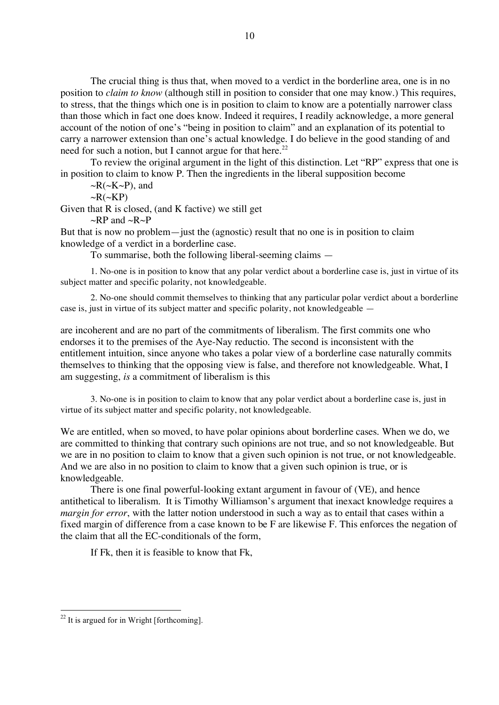The crucial thing is thus that, when moved to a verdict in the borderline area, one is in no position to *claim to know* (although still in position to consider that one may know.) This requires, to stress, that the things which one is in position to claim to know are a potentially narrower class than those which in fact one does know. Indeed it requires, I readily acknowledge, a more general account of the notion of one's "being in position to claim" and an explanation of its potential to carry a narrower extension than one's actual knowledge. I do believe in the good standing of and need for such a notion, but I cannot argue for that here.<sup>22</sup>

To review the original argument in the light of this distinction. Let "RP" express that one is in position to claim to know P. Then the ingredients in the liberal supposition become

 $\sim R(\sim K \sim P)$ , and

 $R(\sim K)$ 

Given that R is closed, (and K factive) we still get

 $\sim$ RP and  $\sim$ R $\sim$ P

But that is now no problem—just the (agnostic) result that no one is in position to claim knowledge of a verdict in a borderline case.

To summarise, both the following liberal-seeming claims —

1. No-one is in position to know that any polar verdict about a borderline case is, just in virtue of its subject matter and specific polarity, not knowledgeable.

2. No-one should commit themselves to thinking that any particular polar verdict about a borderline case is, just in virtue of its subject matter and specific polarity, not knowledgeable —

are incoherent and are no part of the commitments of liberalism. The first commits one who endorses it to the premises of the Aye-Nay reductio. The second is inconsistent with the entitlement intuition, since anyone who takes a polar view of a borderline case naturally commits themselves to thinking that the opposing view is false, and therefore not knowledgeable. What, I am suggesting, *is* a commitment of liberalism is this

3. No-one is in position to claim to know that any polar verdict about a borderline case is, just in virtue of its subject matter and specific polarity, not knowledgeable.

We are entitled, when so moved, to have polar opinions about borderline cases. When we do, we are committed to thinking that contrary such opinions are not true, and so not knowledgeable. But we are in no position to claim to know that a given such opinion is not true, or not knowledgeable. And we are also in no position to claim to know that a given such opinion is true, or is knowledgeable.

There is one final powerful-looking extant argument in favour of (VE), and hence antithetical to liberalism. It is Timothy Williamson's argument that inexact knowledge requires a *margin for error*, with the latter notion understood in such a way as to entail that cases within a fixed margin of difference from a case known to be F are likewise F. This enforces the negation of the claim that all the EC-conditionals of the form,

If Fk, then it is feasible to know that Fk,

 $22$  It is argued for in Wright [forthcoming].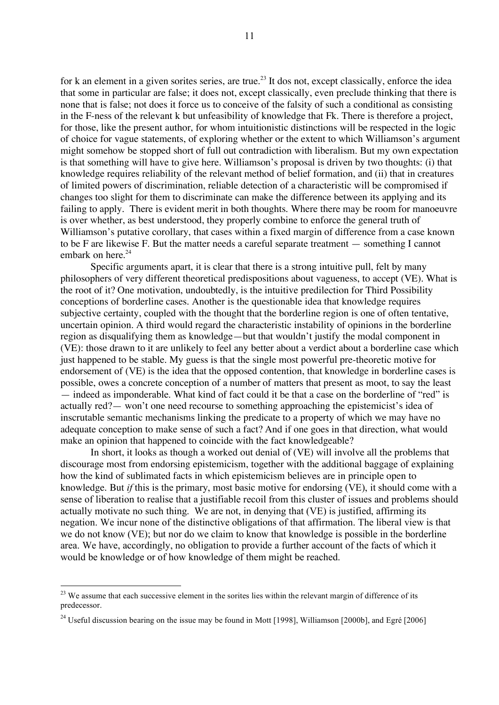for k an element in a given sorites series, are true.<sup>23</sup> It dos not, except classically, enforce the idea that some in particular are false; it does not, except classically, even preclude thinking that there is none that is false; not does it force us to conceive of the falsity of such a conditional as consisting in the F-ness of the relevant k but unfeasibility of knowledge that Fk. There is therefore a project, for those, like the present author, for whom intuitionistic distinctions will be respected in the logic of choice for vague statements, of exploring whether or the extent to which Williamson's argument might somehow be stopped short of full out contradiction with liberalism. But my own expectation is that something will have to give here. Williamson's proposal is driven by two thoughts: (i) that knowledge requires reliability of the relevant method of belief formation, and (ii) that in creatures of limited powers of discrimination, reliable detection of a characteristic will be compromised if changes too slight for them to discriminate can make the difference between its applying and its failing to apply. There is evident merit in both thoughts. Where there may be room for manoeuvre is over whether, as best understood, they properly combine to enforce the general truth of Williamson's putative corollary, that cases within a fixed margin of difference from a case known to be F are likewise F. But the matter needs a careful separate treatment — something I cannot embark on here. 24

Specific arguments apart, it is clear that there is a strong intuitive pull, felt by many philosophers of very different theoretical predispositions about vagueness, to accept (VE). What is the root of it? One motivation, undoubtedly, is the intuitive predilection for Third Possibility conceptions of borderline cases. Another is the questionable idea that knowledge requires subjective certainty, coupled with the thought that the borderline region is one of often tentative, uncertain opinion. A third would regard the characteristic instability of opinions in the borderline region as disqualifying them as knowledge—but that wouldn't justify the modal component in (VE): those drawn to it are unlikely to feel any better about a verdict about a borderline case which just happened to be stable. My guess is that the single most powerful pre-theoretic motive for endorsement of (VE) is the idea that the opposed contention, that knowledge in borderline cases is possible, owes a concrete conception of a number of matters that present as moot, to say the least — indeed as imponderable. What kind of fact could it be that a case on the borderline of "red" is actually red?— won't one need recourse to something approaching the epistemicist's idea of inscrutable semantic mechanisms linking the predicate to a property of which we may have no adequate conception to make sense of such a fact? And if one goes in that direction, what would make an opinion that happened to coincide with the fact knowledgeable?

In short, it looks as though a worked out denial of (VE) will involve all the problems that discourage most from endorsing epistemicism, together with the additional baggage of explaining how the kind of sublimated facts in which epistemicism believes are in principle open to knowledge. But *if* this is the primary, most basic motive for endorsing (VE), it should come with a sense of liberation to realise that a justifiable recoil from this cluster of issues and problems should actually motivate no such thing. We are not, in denying that (VE) is justified, affirming its negation. We incur none of the distinctive obligations of that affirmation. The liberal view is that we do not know (VE); but nor do we claim to know that knowledge is possible in the borderline area. We have, accordingly, no obligation to provide a further account of the facts of which it would be knowledge or of how knowledge of them might be reached.

<sup>&</sup>lt;sup>23</sup> We assume that each successive element in the sorites lies within the relevant margin of difference of its predecessor.

<sup>&</sup>lt;sup>24</sup> Useful discussion bearing on the issue may be found in Mott [1998], Williamson [2000b], and Egré [2006]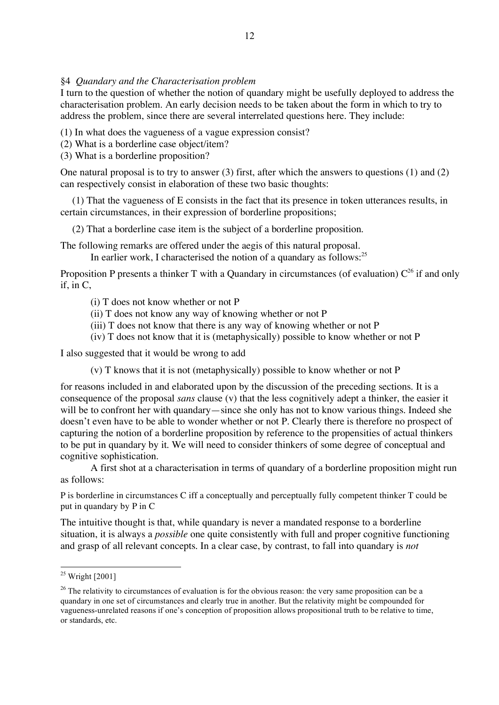§4 *Quandary and the Characterisation problem*

I turn to the question of whether the notion of quandary might be usefully deployed to address the characterisation problem. An early decision needs to be taken about the form in which to try to address the problem, since there are several interrelated questions here. They include:

(1) In what does the vagueness of a vague expression consist?

(2) What is a borderline case object/item?

(3) What is a borderline proposition?

One natural proposal is to try to answer  $(3)$  first, after which the answers to questions  $(1)$  and  $(2)$ can respectively consist in elaboration of these two basic thoughts:

(1) That the vagueness of E consists in the fact that its presence in token utterances results, in certain circumstances, in their expression of borderline propositions;

(2) That a borderline case item is the subject of a borderline proposition.

The following remarks are offered under the aegis of this natural proposal.

In earlier work, I characterised the notion of a quandary as follows:<sup>25</sup>

Proposition P presents a thinker T with a Quandary in circumstances (of evaluation)  $C^{26}$  if and only if, in C,

(i) T does not know whether or not P

(ii) T does not know any way of knowing whether or not P

(iii) T does not know that there is any way of knowing whether or not P

(iv) T does not know that it is (metaphysically) possible to know whether or not P

I also suggested that it would be wrong to add

(v) T knows that it is not (metaphysically) possible to know whether or not P

for reasons included in and elaborated upon by the discussion of the preceding sections. It is a consequence of the proposal *sans* clause (v) that the less cognitively adept a thinker, the easier it will be to confront her with quandary—since she only has not to know various things. Indeed she doesn't even have to be able to wonder whether or not P. Clearly there is therefore no prospect of capturing the notion of a borderline proposition by reference to the propensities of actual thinkers to be put in quandary by it. We will need to consider thinkers of some degree of conceptual and cognitive sophistication.

A first shot at a characterisation in terms of quandary of a borderline proposition might run as follows:

P is borderline in circumstances C iff a conceptually and perceptually fully competent thinker T could be put in quandary by P in C

The intuitive thought is that, while quandary is never a mandated response to a borderline situation, it is always a *possible* one quite consistently with full and proper cognitive functioning and grasp of all relevant concepts. In a clear case, by contrast, to fall into quandary is *not*

 $25$  Wright [2001]

<sup>&</sup>lt;sup>26</sup> The relativity to circumstances of evaluation is for the obvious reason: the very same proposition can be a quandary in one set of circumstances and clearly true in another. But the relativity might be compounded for vagueness-unrelated reasons if one's conception of proposition allows propositional truth to be relative to time, or standards, etc.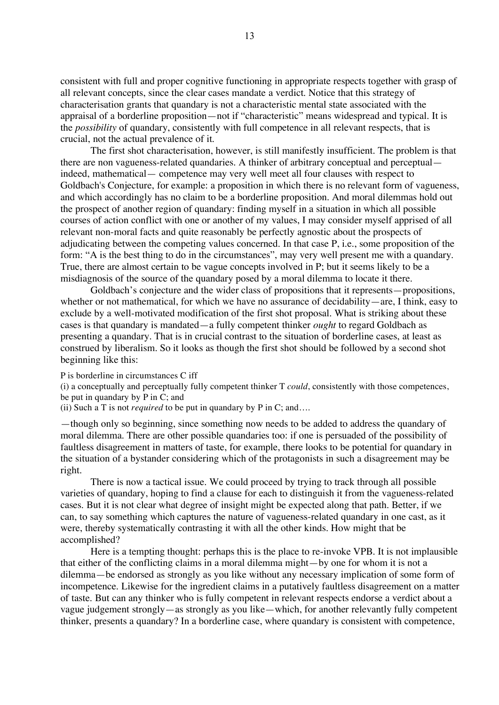consistent with full and proper cognitive functioning in appropriate respects together with grasp of all relevant concepts, since the clear cases mandate a verdict. Notice that this strategy of characterisation grants that quandary is not a characteristic mental state associated with the appraisal of a borderline proposition—not if "characteristic" means widespread and typical. It is the *possibility* of quandary, consistently with full competence in all relevant respects, that is crucial, not the actual prevalence of it.

The first shot characterisation, however, is still manifestly insufficient. The problem is that there are non vagueness-related quandaries. A thinker of arbitrary conceptual and perceptual indeed, mathematical— competence may very well meet all four clauses with respect to Goldbach's Conjecture, for example: a proposition in which there is no relevant form of vagueness, and which accordingly has no claim to be a borderline proposition. And moral dilemmas hold out the prospect of another region of quandary: finding myself in a situation in which all possible courses of action conflict with one or another of my values, I may consider myself apprised of all relevant non-moral facts and quite reasonably be perfectly agnostic about the prospects of adjudicating between the competing values concerned. In that case P, i.e., some proposition of the form: "A is the best thing to do in the circumstances", may very well present me with a quandary. True, there are almost certain to be vague concepts involved in P; but it seems likely to be a misdiagnosis of the source of the quandary posed by a moral dilemma to locate it there.

Goldbach's conjecture and the wider class of propositions that it represents—propositions, whether or not mathematical, for which we have no assurance of decidability—are, I think, easy to exclude by a well-motivated modification of the first shot proposal. What is striking about these cases is that quandary is mandated—a fully competent thinker *ought* to regard Goldbach as presenting a quandary. That is in crucial contrast to the situation of borderline cases, at least as construed by liberalism. So it looks as though the first shot should be followed by a second shot beginning like this:

P is borderline in circumstances C iff

(i) a conceptually and perceptually fully competent thinker T *could*, consistently with those competences, be put in quandary by P in C; and

(ii) Such a T is not *required* to be put in quandary by P in C; and….

—though only so beginning, since something now needs to be added to address the quandary of moral dilemma. There are other possible quandaries too: if one is persuaded of the possibility of faultless disagreement in matters of taste, for example, there looks to be potential for quandary in the situation of a bystander considering which of the protagonists in such a disagreement may be right.

There is now a tactical issue. We could proceed by trying to track through all possible varieties of quandary, hoping to find a clause for each to distinguish it from the vagueness-related cases. But it is not clear what degree of insight might be expected along that path. Better, if we can, to say something which captures the nature of vagueness-related quandary in one cast, as it were, thereby systematically contrasting it with all the other kinds. How might that be accomplished?

Here is a tempting thought: perhaps this is the place to re-invoke VPB. It is not implausible that either of the conflicting claims in a moral dilemma might—by one for whom it is not a dilemma—be endorsed as strongly as you like without any necessary implication of some form of incompetence. Likewise for the ingredient claims in a putatively faultless disagreement on a matter of taste. But can any thinker who is fully competent in relevant respects endorse a verdict about a vague judgement strongly—as strongly as you like—which, for another relevantly fully competent thinker, presents a quandary? In a borderline case, where quandary is consistent with competence,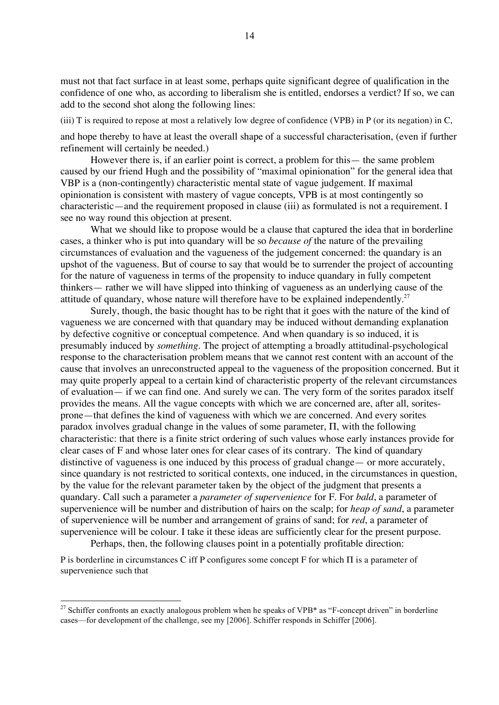must not that fact surface in at least some, perhaps quite significant degree of qualification in the confidence of one who, as according to liberalism she is entitled, endorses a verdict? If so, we can add to the second shot along the following lines:

(iii) T is required to repose at most a relatively low degree of confidence (VPB) in P (or its negation) in C,

and hope thereby to have at least the overall shape of a successful characterisation, (even if further refinement will certainly be needed.)

However there is, if an earlier point is correct, a problem for this— the same problem caused by our friend Hugh and the possibility of "maximal opinionation" for the general idea that VBP is a (non-contingently) characteristic mental state of vague judgement. If maximal opinionation is consistent with mastery of vague concepts, VPB is at most contingently so characteristic—and the requirement proposed in clause (iii) as formulated is not a requirement. I see no way round this objection at present.

What we should like to propose would be a clause that captured the idea that in borderline cases, a thinker who is put into quandary will be so *because of* the nature of the prevailing circumstances of evaluation and the vagueness of the judgement concerned: the quandary is an upshot of the vagueness. But of course to say that would be to surrender the project of accounting for the nature of vagueness in terms of the propensity to induce quandary in fully competent thinkers— rather we will have slipped into thinking of vagueness as an underlying cause of the attitude of quandary, whose nature will therefore have to be explained independently.<sup>27</sup>

Surely, though, the basic thought has to be right that it goes with the nature of the kind of vagueness we are concerned with that quandary may be induced without demanding explanation by defective cognitive or conceptual competence. And when quandary is so induced, it is presumably induced by *something*. The project of attempting a broadly attitudinal-psychological response to the characterisation problem means that we cannot rest content with an account of the cause that involves an unreconstructed appeal to the vagueness of the proposition concerned. But it may quite properly appeal to a certain kind of characteristic property of the relevant circumstances of evaluation— if we can find one. And surely we can. The very form of the sorites paradox itself provides the means. All the vague concepts with which we are concerned are, after all, soritesprone—that defines the kind of vagueness with which we are concerned. And every sorites paradox involves gradual change in the values of some parameter, Π, with the following characteristic: that there is a finite strict ordering of such values whose early instances provide for clear cases of F and whose later ones for clear cases of its contrary. The kind of quandary distinctive of vagueness is one induced by this process of gradual change— or more accurately, since quandary is not restricted to soritical contexts, one induced, in the circumstances in question, by the value for the relevant parameter taken by the object of the judgment that presents a quandary. Call such a parameter a *parameter of supervenience* for F. For *bald*, a parameter of supervenience will be number and distribution of hairs on the scalp; for *heap of sand*, a parameter of supervenience will be number and arrangement of grains of sand; for *red*, a parameter of supervenience will be colour. I take it these ideas are sufficiently clear for the present purpose.

Perhaps, then, the following clauses point in a potentially profitable direction:

P is borderline in circumstances C iff P configures some concept F for which Π is a parameter of supervenience such that

 $27$  Schiffer confronts an exactly analogous problem when he speaks of VPB\* as "F-concept driven" in borderline cases—for development of the challenge, see my [2006]. Schiffer responds in Schiffer [2006].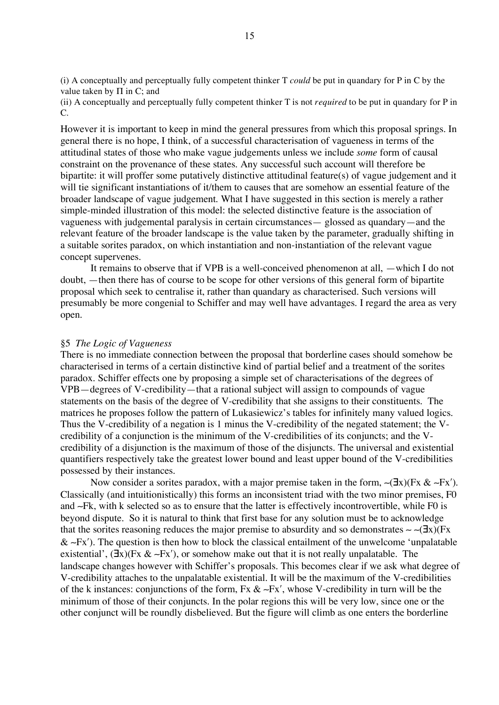(i) A conceptually and perceptually fully competent thinker T *could* be put in quandary for P in C by the value taken by  $\Pi$  in C; and

(ii) A conceptually and perceptually fully competent thinker T is not *required* to be put in quandary for P in C.

However it is important to keep in mind the general pressures from which this proposal springs. In general there is no hope, I think, of a successful characterisation of vagueness in terms of the attitudinal states of those who make vague judgements unless we include *some* form of causal constraint on the provenance of these states. Any successful such account will therefore be bipartite: it will proffer some putatively distinctive attitudinal feature(s) of vague judgement and it will tie significant instantiations of it/them to causes that are somehow an essential feature of the broader landscape of vague judgement. What I have suggested in this section is merely a rather simple-minded illustration of this model: the selected distinctive feature is the association of vagueness with judgemental paralysis in certain circumstances— glossed as quandary—and the relevant feature of the broader landscape is the value taken by the parameter, gradually shifting in a suitable sorites paradox, on which instantiation and non-instantiation of the relevant vague concept supervenes.

It remains to observe that if VPB is a well-conceived phenomenon at all, —which I do not doubt, —then there has of course to be scope for other versions of this general form of bipartite proposal which seek to centralise it, rather than quandary as characterised. Such versions will presumably be more congenial to Schiffer and may well have advantages. I regard the area as very open.

#### §5 *The Logic of Vagueness*

There is no immediate connection between the proposal that borderline cases should somehow be characterised in terms of a certain distinctive kind of partial belief and a treatment of the sorites paradox. Schiffer effects one by proposing a simple set of characterisations of the degrees of VPB—degrees of V-credibility—that a rational subject will assign to compounds of vague statements on the basis of the degree of V-credibility that she assigns to their constituents. The matrices he proposes follow the pattern of Lukasiewicz's tables for infinitely many valued logics. Thus the V-credibility of a negation is 1 minus the V-credibility of the negated statement; the Vcredibility of a conjunction is the minimum of the V-credibilities of its conjuncts; and the Vcredibility of a disjunction is the maximum of those of the disjuncts. The universal and existential quantifiers respectively take the greatest lower bound and least upper bound of the V-credibilities possessed by their instances.

Now consider a sorites paradox, with a major premise taken in the form, ∼(∃x)(Fx & ∼Fx′). Classically (and intuitionistically) this forms an inconsistent triad with the two minor premises, F0 and ∼Fk, with k selected so as to ensure that the latter is effectively incontrovertible, while F0 is beyond dispute. So it is natural to think that first base for any solution must be to acknowledge that the sorites reasoning reduces the major premise to absurdity and so demonstrates  $\sim \sim (\exists x)(Fx$ & ∼Fx′). The question is then how to block the classical entailment of the unwelcome 'unpalatable existential', (∃x)(Fx & ∼Fx′), or somehow make out that it is not really unpalatable. The landscape changes however with Schiffer's proposals. This becomes clear if we ask what degree of V-credibility attaches to the unpalatable existential. It will be the maximum of the V-credibilities of the k instances: conjunctions of the form, Fx & ∼Fx′, whose V-credibility in turn will be the minimum of those of their conjuncts. In the polar regions this will be very low, since one or the other conjunct will be roundly disbelieved. But the figure will climb as one enters the borderline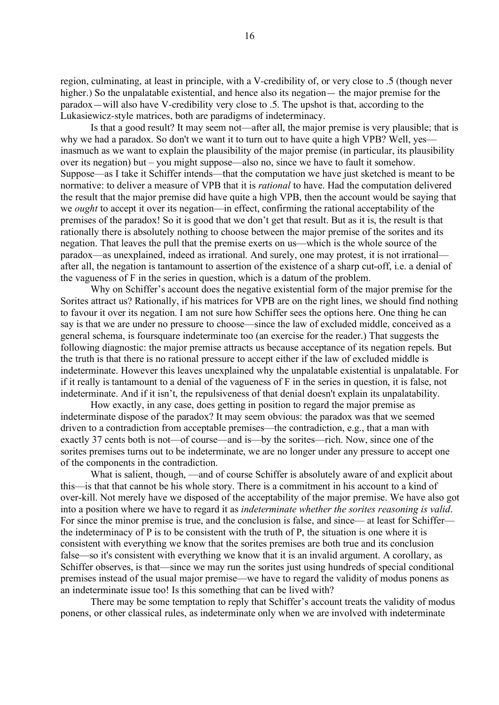region, culminating, at least in principle, with a V-credibility of, or very close to .5 (though never higher.) So the unpalatable existential, and hence also its negation— the major premise for the paradox—will also have V-credibility very close to .5. The upshot is that, according to the Lukasiewicz-style matrices, both are paradigms of indeterminacy.

Is that a good result? It may seem not—after all, the major premise is very plausible; that is why we had a paradox. So don't we want it to turn out to have quite a high VPB? Well, yes inasmuch as we want to explain the plausibility of the major premise (in particular, its plausibility over its negation) but – you might suppose—also no, since we have to fault it somehow. Suppose—as I take it Schiffer intends—that the computation we have just sketched is meant to be normative: to deliver a measure of VPB that it is *rational* to have. Had the computation delivered the result that the major premise did have quite a high VPB, then the account would be saying that we *ought* to accept it over its negation—in effect, confirming the rational acceptability of the premises of the paradox! So it is good that we don't get that result. But as it is, the result is that rationally there is absolutely nothing to choose between the major premise of the sorites and its negation. That leaves the pull that the premise exerts on us—which is the whole source of the paradox—as unexplained, indeed as irrational. And surely, one may protest, it is not irrational after all, the negation is tantamount to assertion of the existence of a sharp cut-off, i.e. a denial of the vagueness of F in the series in question, which is a datum of the problem.

Why on Schiffer's account does the negative existential form of the major premise for the Sorites attract us? Rationally, if his matrices for VPB are on the right lines, we should find nothing to favour it over its negation. I am not sure how Schiffer sees the options here. One thing he can say is that we are under no pressure to choose—since the law of excluded middle, conceived as a general schema, is foursquare indeterminate too (an exercise for the reader.) That suggests the following diagnostic: the major premise attracts us because acceptance of its negation repels. But the truth is that there is no rational pressure to accept either if the law of excluded middle is indeterminate. However this leaves unexplained why the unpalatable existential is unpalatable. For if it really is tantamount to a denial of the vagueness of F in the series in question, it is false, not indeterminate. And if it isn't, the repulsiveness of that denial doesn't explain its unpalatability.

How exactly, in any case, does getting in position to regard the major premise as indeterminate dispose of the paradox? It may seem obvious: the paradox was that we seemed driven to a contradiction from acceptable premises—the contradiction, e.g., that a man with exactly 37 cents both is not—of course—and is—by the sorites—rich. Now, since one of the sorites premises turns out to be indeterminate, we are no longer under any pressure to accept one of the components in the contradiction.

What is salient, though, —and of course Schiffer is absolutely aware of and explicit about this—is that that cannot be his whole story. There is a commitment in his account to a kind of over-kill. Not merely have we disposed of the acceptability of the major premise. We have also got into a position where we have to regard it as *indeterminate whether the sorites reasoning is valid*. For since the minor premise is true, and the conclusion is false, and since— at least for Schiffer the indeterminacy of P is to be consistent with the truth of P, the situation is one where it is consistent with everything we know that the sorites premises are both true and its conclusion false—so it's consistent with everything we know that it is an invalid argument. A corollary, as Schiffer observes, is that—since we may run the sorites just using hundreds of special conditional premises instead of the usual major premise—we have to regard the validity of modus ponens as an indeterminate issue too! Is this something that can be lived with?

There may be some temptation to reply that Schiffer's account treats the validity of modus ponens, or other classical rules, as indeterminate only when we are involved with indeterminate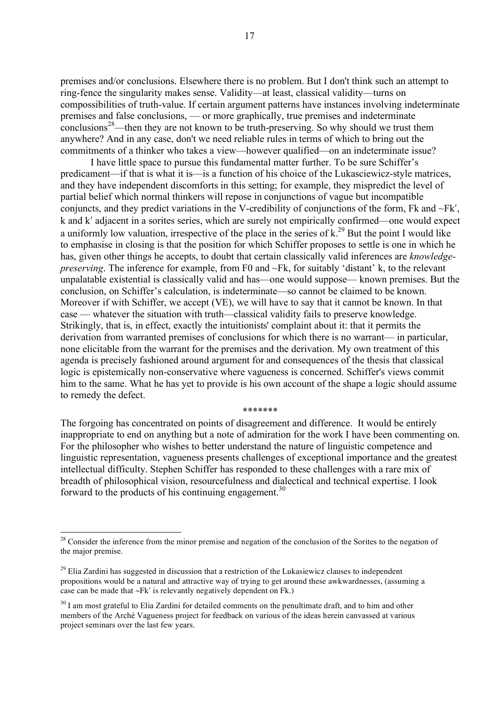premises and/or conclusions. Elsewhere there is no problem. But I don't think such an attempt to ring-fence the singularity makes sense. Validity—at least, classical validity—turns on compossibilities of truth-value. If certain argument patterns have instances involving indeterminate premises and false conclusions, — or more graphically, true premises and indeterminate conclusions<sup>28</sup>—then they are not known to be truth-preserving. So why should we trust them anywhere? And in any case, don't we need reliable rules in terms of which to bring out the commitments of a thinker who takes a view—however qualified—on an indeterminate issue?

I have little space to pursue this fundamental matter further. To be sure Schiffer's predicament—if that is what it is—is a function of his choice of the Lukasciewicz-style matrices, and they have independent discomforts in this setting; for example, they mispredict the level of partial belief which normal thinkers will repose in conjunctions of vague but incompatible conjuncts, and they predict variations in the V-credibility of conjunctions of the form, Fk and ~Fk′, k and k′ adjacent in a sorites series, which are surely not empirically confirmed—one would expect a uniformly low valuation, irrespective of the place in the series of  $k^{29}$  But the point I would like to emphasise in closing is that the position for which Schiffer proposes to settle is one in which he has, given other things he accepts, to doubt that certain classically valid inferences are *knowledgepreserving*. The inference for example, from F0 and ~Fk, for suitably 'distant' k, to the relevant unpalatable existential is classically valid and has—one would suppose— known premises. But the conclusion, on Schiffer's calculation, is indeterminate—so cannot be claimed to be known. Moreover if with Schiffer, we accept (VE), we will have to say that it cannot be known. In that case — whatever the situation with truth—classical validity fails to preserve knowledge. Strikingly, that is, in effect, exactly the intuitionists' complaint about it: that it permits the derivation from warranted premises of conclusions for which there is no warrant— in particular, none elicitable from the warrant for the premises and the derivation. My own treatment of this agenda is precisely fashioned around argument for and consequences of the thesis that classical logic is epistemically non-conservative where vagueness is concerned. Schiffer's views commit him to the same. What he has yet to provide is his own account of the shape a logic should assume to remedy the defect.

### \*\*\*\*\*\*\*

The forgoing has concentrated on points of disagreement and difference. It would be entirely inappropriate to end on anything but a note of admiration for the work I have been commenting on. For the philosopher who wishes to better understand the nature of linguistic competence and linguistic representation, vagueness presents challenges of exceptional importance and the greatest intellectual difficulty. Stephen Schiffer has responded to these challenges with a rare mix of breadth of philosophical vision, resourcefulness and dialectical and technical expertise. I look forward to the products of his continuing engagement.<sup>30</sup>

<sup>&</sup>lt;sup>28</sup> Consider the inference from the minor premise and negation of the conclusion of the Sorites to the negation of the major premise.

 $29$  Elia Zardini has suggested in discussion that a restriction of the Lukasiewicz clauses to independent propositions would be a natural and attractive way of trying to get around these awkwardnesses, (assuming a case can be made that  $\neg Fk'$  is relevantly negatively dependent on Fk.)

<sup>&</sup>lt;sup>30</sup> I am most grateful to Elia Zardini for detailed comments on the penultimate draft, and to him and other members of the Arché Vagueness project for feedback on various of the ideas herein canvassed at various project seminars over the last few years.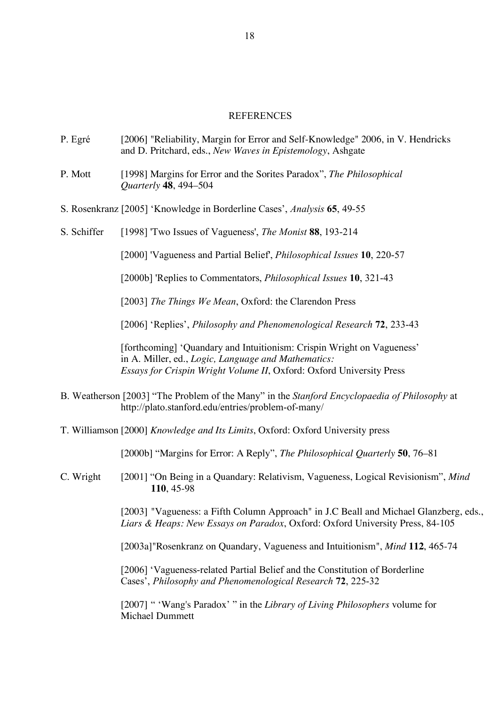### **REFERENCES**

- P. Egré [2006] "Reliability, Margin for Error and Self-Knowledge" 2006, in V. Hendricks and D. Pritchard, eds., *New Waves in Epistemology*, Ashgate
- P. Mott [1998] Margins for Error and the Sorites Paradox", *The Philosophical Quarterly* **48**, 494–504
- S. Rosenkranz [2005] 'Knowledge in Borderline Cases', *Analysis* **65**, 49-55
- S. Schiffer [1998] 'Two Issues of Vagueness', *The Monist* **88**, 193-214

[2000] 'Vagueness and Partial Belief', *Philosophical Issues* **10**, 220-57

[2000b] 'Replies to Commentators, *Philosophical Issues* **10**, 321-43

[2003] *The Things We Mean*, Oxford: the Clarendon Press

[2006] 'Replies', *Philosophy and Phenomenological Research* **72**, 233-43

[forthcoming] 'Quandary and Intuitionism: Crispin Wright on Vagueness' in A. Miller, ed., *Logic, Language and Mathematics: Essays for Crispin Wright Volume II*, Oxford: Oxford University Press

- B. Weatherson [2003] "The Problem of the Many" in the *Stanford Encyclopaedia of Philosophy* at http://plato.stanford.edu/entries/problem-of-many/
- T. Williamson [2000] *Knowledge and Its Limits*, Oxford: Oxford University press

[2000b] "Margins for Error: A Reply", *The Philosophical Quarterly* **50**, 76–81

C. Wright [2001] "On Being in a Quandary: Relativism, Vagueness, Logical Revisionism", *Mind*  **110**, 45-98

> [2003] "Vagueness: a Fifth Column Approach" in J.C Beall and Michael Glanzberg, eds., *Liars & Heaps: New Essays on Paradox*, Oxford: Oxford University Press, 84-105

[2003a]"Rosenkranz on Quandary, Vagueness and Intuitionism", *Mind* **112**, 465-74

[2006] 'Vagueness-related Partial Belief and the Constitution of Borderline Cases', *Philosophy and Phenomenological Research* **72**, 225-32

[2007] " 'Wang's Paradox' " in the *Library of Living Philosophers* volume for Michael Dummett